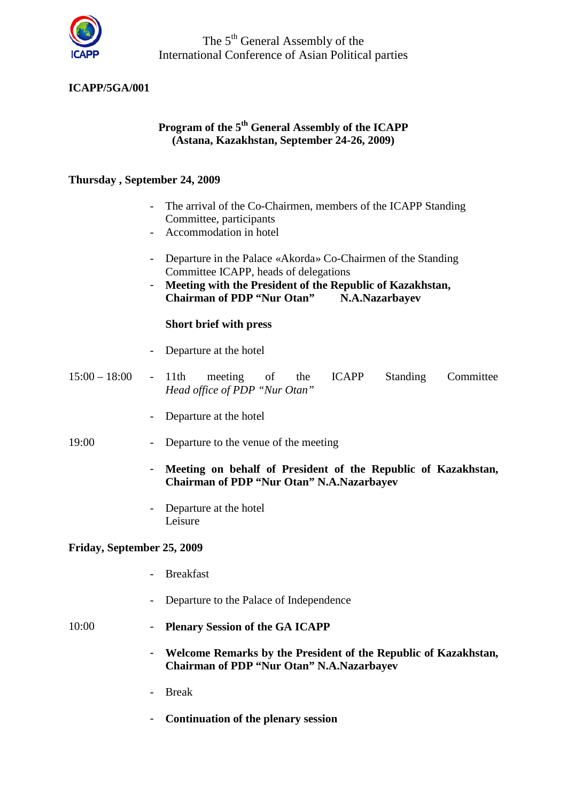

The 5<sup>th</sup> General Assembly of the International Conference of Asian Political parties

### **ICAPP/5GA/001**

## **Program of the 5th General Assembly of the ICAPP (Astana, Kazakhstan, September 24-26, 2009)**

#### **Thursday , September 24, 2009**

- The arrival of the Co-Chairmen, members of the ICAPP Standing Committee, participants
- Accommodation in hotel
- Departure in the Palace «Akorda» Co-Chairmen of the Standing Committee ICAPP, heads of delegations
- **Meeting with the President of the Republic of Kazakhstan, Chairman of PDP "Nur Otan" N.A.Nazarbayev**

### **Short brief with press**

- Departure at the hotel
- 15:00 18:00 11th meeting of the ICAPP Standing Committee *Head office of PDP "Nur Otan"*
	- Departure at the hotel
- 19:00 Departure to the venue of the meeting
	- **Meeting on behalf of President of the Republic of Kazakhstan, Chairman of PDP "Nur Otan" N.A.Nazarbayev**
	- Departure at the hotel Leisure

#### **Friday, September 25, 2009**

- Breakfast
- Departure to the Palace of Independence

- 10:00 **Plenary Session of the GA ICAPP**
	- **Welcome Remarks by the President of the Republic of Kazakhstan, Chairman of PDP "Nur Otan" N.A.Nazarbayev**
	- Break
	- **Continuation of the plenary session**